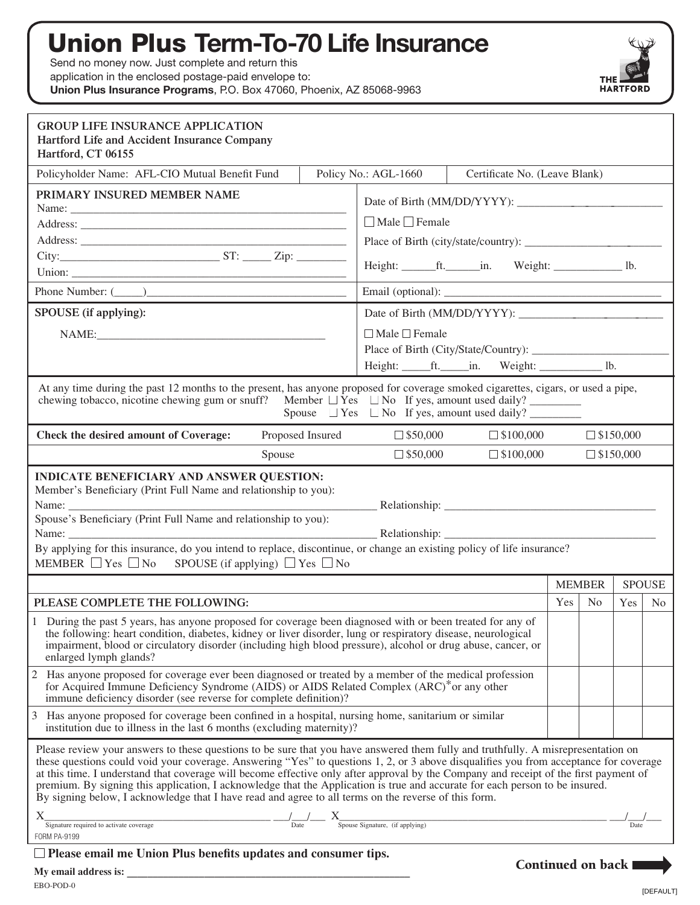## Union Plus **Term-To-70 Life Insurance**

Send no money now. Just complete and return this

application in the enclosed postage-paid envelope to:

**Union Plus Insurance Programs**, P.O. Box 47060, Phoenix, AZ 85068-9963



EBO-POD-0